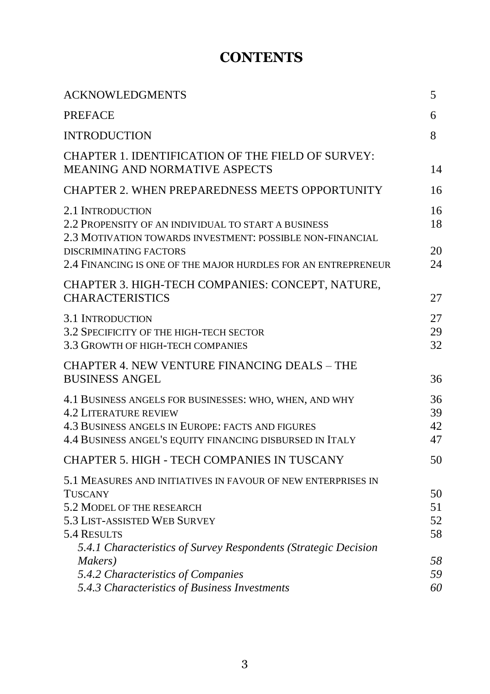## **CONTENTS**

| <b>ACKNOWLEDGMENTS</b>                                                                                                                                                                                 | 5                    |
|--------------------------------------------------------------------------------------------------------------------------------------------------------------------------------------------------------|----------------------|
| <b>PREFACE</b>                                                                                                                                                                                         | 6                    |
| <b>INTRODUCTION</b>                                                                                                                                                                                    | 8                    |
| <b>CHAPTER 1. IDENTIFICATION OF THE FIELD OF SURVEY:</b><br><b>MEANING AND NORMATIVE ASPECTS</b>                                                                                                       | 14                   |
| <b>CHAPTER 2. WHEN PREPAREDNESS MEETS OPPORTUNITY</b>                                                                                                                                                  | 16                   |
| 2.1 INTRODUCTION<br>2.2 PROPENSITY OF AN INDIVIDUAL TO START A BUSINESS<br>2.3 MOTIVATION TOWARDS INVESTMENT: POSSIBLE NON-FINANCIAL                                                                   | 16<br>18             |
| DISCRIMINATING FACTORS<br>2.4 FINANCING IS ONE OF THE MAJOR HURDLES FOR AN ENTREPRENEUR                                                                                                                | 20<br>24             |
| CHAPTER 3. HIGH-TECH COMPANIES: CONCEPT, NATURE,<br><b>CHARACTERISTICS</b>                                                                                                                             | 27                   |
| <b>3.1 INTRODUCTION</b><br>3.2 SPECIFICITY OF THE HIGH-TECH SECTOR<br>3.3 GROWTH OF HIGH-TECH COMPANIES                                                                                                | 27<br>29<br>32       |
| <b>CHAPTER 4. NEW VENTURE FINANCING DEALS - THE</b><br><b>BUSINESS ANGEL</b>                                                                                                                           | 36                   |
| 4.1 BUSINESS ANGELS FOR BUSINESSES: WHO, WHEN, AND WHY<br><b>4.2 LITERATURE REVIEW</b><br>4.3 BUSINESS ANGELS IN EUROPE: FACTS AND FIGURES<br>4.4 BUSINESS ANGEL'S EQUITY FINANCING DISBURSED IN ITALY | 36<br>39<br>42<br>47 |
| CHAPTER 5. HIGH - TECH COMPANIES IN TUSCANY                                                                                                                                                            | 50                   |
| 5.1 MEASURES AND INITIATIVES IN FAVOUR OF NEW ENTERPRISES IN<br><b>TUSCANY</b><br>5.2 MODEL OF THE RESEARCH<br>5.3 LIST-ASSISTED WEB SURVEY                                                            | 50<br>51<br>52       |
| 5.4 RESULTS                                                                                                                                                                                            | 58                   |
| 5.4.1 Characteristics of Survey Respondents (Strategic Decision<br>Makers)<br>5.4.2 Characteristics of Companies<br>5.4.3 Characteristics of Business Investments                                      | 58<br>59<br>60       |